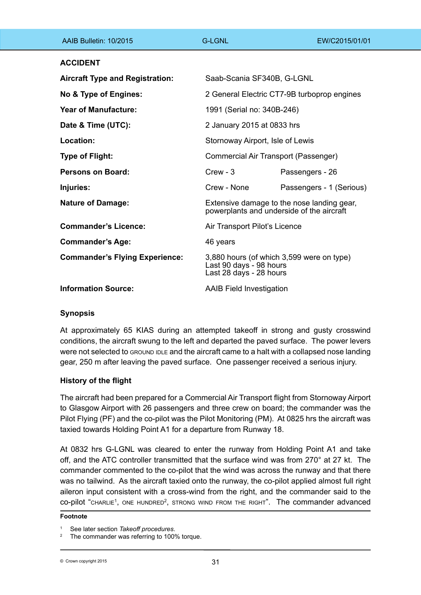| AAIB Bulletin: 10/2015                 | G-LGNL                                                                                          | EW/C2015/01/01           |
|----------------------------------------|-------------------------------------------------------------------------------------------------|--------------------------|
| <b>ACCIDENT</b>                        |                                                                                                 |                          |
| <b>Aircraft Type and Registration:</b> | Saab-Scania SF340B, G-LGNL                                                                      |                          |
| No & Type of Engines:                  | 2 General Electric CT7-9B turboprop engines                                                     |                          |
| Year of Manufacture:                   | 1991 (Serial no: 340B-246)                                                                      |                          |
| Date & Time (UTC):                     | 2 January 2015 at 0833 hrs                                                                      |                          |
| Location:                              | Stornoway Airport, Isle of Lewis                                                                |                          |
| <b>Type of Flight:</b>                 | Commercial Air Transport (Passenger)                                                            |                          |
| Persons on Board:                      | $C$ rew - $3$                                                                                   | Passengers - 26          |
| Injuries:                              | Crew - None                                                                                     | Passengers - 1 (Serious) |
| <b>Nature of Damage:</b>               | Extensive damage to the nose landing gear,<br>powerplants and underside of the aircraft         |                          |
| <b>Commander's Licence:</b>            | Air Transport Pilot's Licence                                                                   |                          |
| <b>Commander's Age:</b>                | 46 years                                                                                        |                          |
| <b>Commander's Flying Experience:</b>  | 3,880 hours (of which 3,599 were on type)<br>Last 90 days - 98 hours<br>Last 28 days - 28 hours |                          |
| <b>Information Source:</b>             | <b>AAIB Field Investigation</b>                                                                 |                          |

# **Synopsis**

At approximately 65 KIAS during an attempted takeoff in strong and gusty crosswind conditions, the aircraft swung to the left and departed the paved surface. The power levers Were not selected to GROUND IDLE and the aircraft came to a halt with a collapsed nose landing gear, 250 m after leaving the paved surface. One passenger received a serious injury.

# **History of the flight**

The aircraft had been prepared for a Commercial Air Transport flight from Stornoway Airport to Glasgow Airport with 26 passengers and three crew on board; the commander was the Pilot Flying (PF) and the co-pilot was the Pilot Monitoring (PM). At 0825 hrs the aircraft was taxied towards Holding Point A1 for a departure from Runway 18.

At 0832 hrs G-LGNL was cleared to enter the runway from Holding Point A1 and take off, and the ATC controller transmitted that the surface wind was from 270° at 27 kt. The commander commented to the co-pilot that the wind was across the runway and that there was no tailwind. As the aircraft taxied onto the runway, the co-pilot applied almost full right aileron input consistent with a cross-wind from the right, and the commander said to the  $co$ -pilot " $cn$ ARLIE<sup>1</sup>, ONE HUNDRED<sup>2</sup>, STRONG WIND FROM THE RIGHT". The commander advanced

#### **Footnote**

<sup>1</sup> See later section *Takeoff procedures*.

The commander was referring to 100% torque.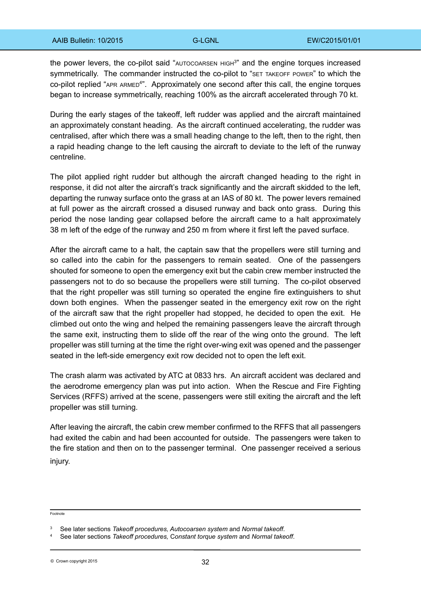the power levers, the co-pilot said "AUTOCOARSEN HIGH<sup>3"</sup> and the engine torques increased symmetrically. The commander instructed the co-pilot to "SET TAKEOFF POWER" to which the co-pilot replied "APR ARMED<sup>4"</sup>. Approximately one second after this call, the engine torques began to increase symmetrically, reaching 100% as the aircraft accelerated through 70 kt.

During the early stages of the takeoff, left rudder was applied and the aircraft maintained an approximately constant heading. As the aircraft continued accelerating, the rudder was centralised, after which there was a small heading change to the left, then to the right, then a rapid heading change to the left causing the aircraft to deviate to the left of the runway centreline.

The pilot applied right rudder but although the aircraft changed heading to the right in response, it did not alter the aircraft's track significantly and the aircraft skidded to the left, departing the runway surface onto the grass at an IAS of 80 kt. The power levers remained at full power as the aircraft crossed a disused runway and back onto grass. During this period the nose landing gear collapsed before the aircraft came to a halt approximately 38 m left of the edge of the runway and 250 m from where it first left the paved surface.

After the aircraft came to a halt, the captain saw that the propellers were still turning and so called into the cabin for the passengers to remain seated. One of the passengers shouted for someone to open the emergency exit but the cabin crew member instructed the passengers not to do so because the propellers were still turning. The co-pilot observed that the right propeller was still turning so operated the engine fire extinguishers to shut down both engines. When the passenger seated in the emergency exit row on the right of the aircraft saw that the right propeller had stopped, he decided to open the exit. He climbed out onto the wing and helped the remaining passengers leave the aircraft through the same exit, instructing them to slide off the rear of the wing onto the ground. The left propeller was still turning at the time the right over-wing exit was opened and the passenger seated in the left-side emergency exit row decided not to open the left exit.

The crash alarm was activated by ATC at 0833 hrs. An aircraft accident was declared and the aerodrome emergency plan was put into action. When the Rescue and Fire Fighting Services (RFFS) arrived at the scene, passengers were still exiting the aircraft and the left propeller was still turning.

After leaving the aircraft, the cabin crew member confirmed to the RFFS that all passengers had exited the cabin and had been accounted for outside. The passengers were taken to the fire station and then on to the passenger terminal. One passenger received a serious injury.

Footnote

<sup>3</sup> See later sections *Takeoff procedures, Autocoarsen system* and *Normal takeoff*.

<sup>4</sup> See later sections *Takeoff procedures,* C*onstant torque system* and *Normal takeoff*.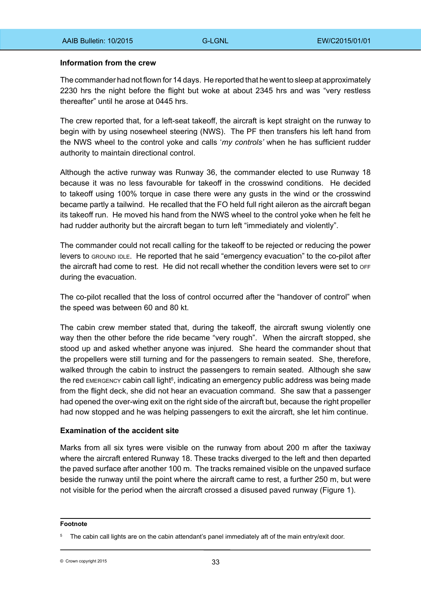#### **Information from the crew**

The commander had not flown for 14 days. He reported that he went to sleep at approximately 2230 hrs the night before the flight but woke at about 2345 hrs and was "very restless thereafter" until he arose at 0445 hrs.

The crew reported that, for a left-seat takeoff, the aircraft is kept straight on the runway to begin with by using nosewheel steering (NWS). The PF then transfers his left hand from the NWS wheel to the control yoke and calls '*my controls'* when he has sufficient rudder authority to maintain directional control.

Although the active runway was Runway 36, the commander elected to use Runway 18 because it was no less favourable for takeoff in the crosswind conditions. He decided to takeoff using 100% torque in case there were any gusts in the wind or the crosswind became partly a tailwind. He recalled that the FO held full right aileron as the aircraft began its takeoff run. He moved his hand from the NWS wheel to the control yoke when he felt he had rudder authority but the aircraft began to turn left "immediately and violently".

The commander could not recall calling for the takeoff to be rejected or reducing the power levers to GROUND IDLE. He reported that he said "emergency evacuation" to the co-pilot after the aircraft had come to rest. He did not recall whether the condition levers were set to OFF during the evacuation.

The co-pilot recalled that the loss of control occurred after the "handover of control" when the speed was between 60 and 80 kt.

The cabin crew member stated that, during the takeoff, the aircraft swung violently one way then the other before the ride became "very rough". When the aircraft stopped, she stood up and asked whether anyone was injured. She heard the commander shout that the propellers were still turning and for the passengers to remain seated. She, therefore, walked through the cabin to instruct the passengers to remain seated. Although she saw the red EMERGENCY cabin call light<sup>5</sup>, indicating an emergency public address was being made from the flight deck, she did not hear an evacuation command. She saw that a passenger had opened the over-wing exit on the right side of the aircraft but, because the right propeller had now stopped and he was helping passengers to exit the aircraft, she let him continue.

#### **Examination of the accident site**

Marks from all six tyres were visible on the runway from about 200 m after the taxiway where the aircraft entered Runway 18. These tracks diverged to the left and then departed the paved surface after another 100 m. The tracks remained visible on the unpaved surface beside the runway until the point where the aircraft came to rest, a further 250 m, but were not visible for the period when the aircraft crossed a disused paved runway (Figure 1).

#### **Footnote**

<sup>&</sup>lt;sup>5</sup> The cabin call lights are on the cabin attendant's panel immediately aft of the main entry/exit door.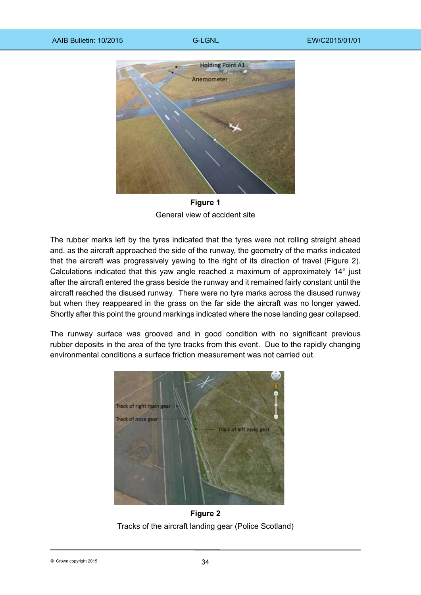

**Figure 1** General view of accident site

The rubber marks left by the tyres indicated that the tyres were not rolling straight ahead and, as the aircraft approached the side of the runway, the geometry of the marks indicated that the aircraft was progressively yawing to the right of its direction of travel (Figure 2). Calculations indicated that this yaw angle reached a maximum of approximately 14° just after the aircraft entered the grass beside the runway and it remained fairly constant until the aircraft reached the disused runway. There were no tyre marks across the disused runway but when they reappeared in the grass on the far side the aircraft was no longer yawed. Shortly after this point the ground markings indicated where the nose landing gear collapsed.

The runway surface was grooved and in good condition with no significant previous rubber deposits in the area of the tyre tracks from this event. Due to the rapidly changing environmental conditions a surface friction measurement was not carried out.



**Figure 2** Tracks of the aircraft landing gear (Police Scotland)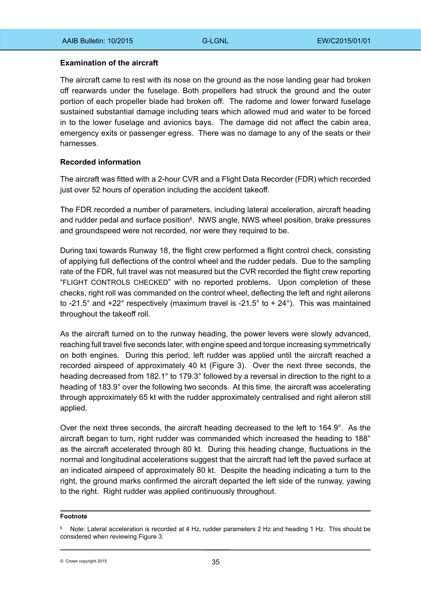### **Examination of the aircraft**

The aircraft came to rest with its nose on the ground as the nose landing gear had broken off rearwards under the fuselage. Both propellers had struck the ground and the outer portion of each propeller blade had broken off. The radome and lower forward fuselage sustained substantial damage including tears which allowed mud and water to be forced in to the lower fuselage and avionics bays. The damage did not affect the cabin area, emergency exits or passenger egress. There was no damage to any of the seats or their harnesses.

# **Recorded information**

The aircraft was fitted with a 2-hour CVR and a Flight Data Recorder (FDR) which recorded just over 52 hours of operation including the accident takeoff.

The FDR recorded a number of parameters, including lateral acceleration, aircraft heading and rudder pedal and surface position<sup>6</sup>. NWS angle, NWS wheel position, brake pressures and groundspeed were not recorded, nor were they required to be.

During taxi towards Runway 18, the flight crew performed a flight control check, consisting of applying full deflections of the control wheel and the rudder pedals. Due to the sampling rate of the FDR, full travel was not measured but the CVR recorded the flight crew reporting "FLIGHT CONTROLS CHECKED" with no reported problems. Upon completion of these checks, right roll was commanded on the control wheel, deflecting the left and right ailerons to -21.5° and  $+22$ ° respectively (maximum travel is -21.5° to  $+ 24$ °). This was maintained throughout the takeoff roll.

As the aircraft turned on to the runway heading, the power levers were slowly advanced, reaching full travel five seconds later, with engine speed and torque increasing symmetrically on both engines. During this period, left rudder was applied until the aircraft reached a recorded airspeed of approximately 40 kt (Figure 3). Over the next three seconds, the heading decreased from 182.1° to 179.3° followed by a reversal in direction to the right to a heading of 183.9° over the following two seconds. At this time, the aircraft was accelerating through approximately 65 kt with the rudder approximately centralised and right aileron still applied.

Over the next three seconds, the aircraft heading decreased to the left to 164.9°. As the aircraft began to turn, right rudder was commanded which increased the heading to 188° as the aircraft accelerated through 80 kt. During this heading change, fluctuations in the normal and longitudinal accelerations suggest that the aircraft had left the paved surface at an indicated airspeed of approximately 80 kt. Despite the heading indicating a turn to the right, the ground marks confirmed the aircraft departed the left side of the runway, yawing to the right. Right rudder was applied continuously throughout.

#### **Footnote**

<sup>&</sup>lt;sup>6</sup> Note: Lateral acceleration is recorded at 4 Hz, rudder parameters 2 Hz and heading 1 Hz. This should be considered when reviewing Figure 3.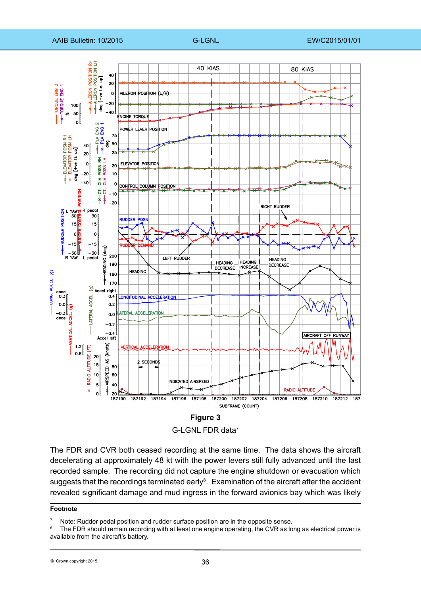

G-LGNL FDR data7

The FDR and CVR both ceased recording at the same time. The data shows the aircraft decelerating at approximately 48 kt with the power levers still fully advanced until the last recorded sample. The recording did not capture the engine shutdown or evacuation which suggests that the recordings terminated early<sup>8</sup>. Examination of the aircraft after the accident revealed significant damage and mud ingress in the forward avionics bay which was likely

#### **Footnote**

Note: Rudder pedal position and rudder surface position are in the opposite sense.

The FDR should remain recording with at least one engine operating, the CVR as long as electrical power is available from the aircraft's battery.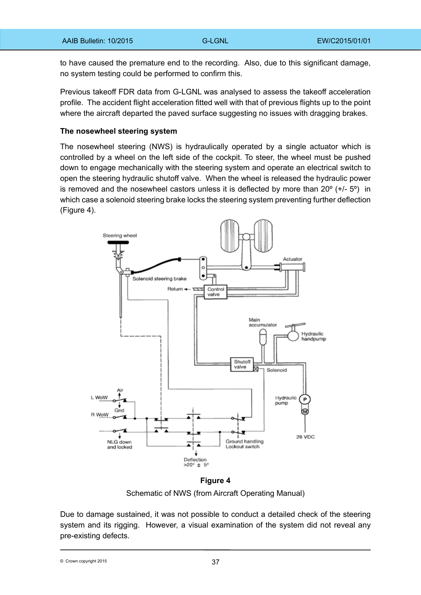to have caused the premature end to the recording. Also, due to this significant damage, no system testing could be performed to confirm this.

Previous takeoff FDR data from G-LGNL was analysed to assess the takeoff acceleration profile. The accident flight acceleration fitted well with that of previous flights up to the point where the aircraft departed the paved surface suggesting no issues with dragging brakes.

#### **The nosewheel steering system**

The nosewheel steering (NWS) is hydraulically operated by a single actuator which is controlled by a wheel on the left side of the cockpit. To steer, the wheel must be pushed down to engage mechanically with the steering system and operate an electrical switch to open the steering hydraulic shutoff valve. When the wheel is released the hydraulic power is removed and the nosewheel castors unless it is deflected by more than  $20^{\circ}$  (+/-  $5^{\circ}$ ) in which case a solenoid steering brake locks the steering system preventing further deflection (Figure 4).



**Figure 4** Schematic of NWS (from Aircraft Operating Manual)

Due to damage sustained, it was not possible to conduct a detailed check of the steering system and its rigging. However, a visual examination of the system did not reveal any pre-existing defects.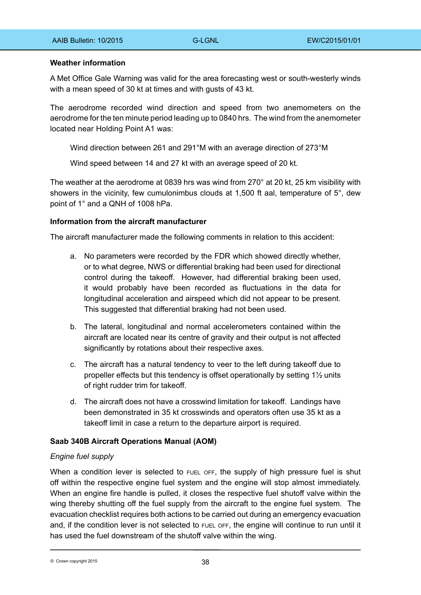### **Weather information**

A Met Office Gale Warning was valid for the area forecasting west or south-westerly winds with a mean speed of 30 kt at times and with gusts of 43 kt.

The aerodrome recorded wind direction and speed from two anemometers on the aerodrome for the ten minute period leading up to 0840 hrs. The wind from the anemometer located near Holding Point A1 was:

Wind direction between 261 and 291°M with an average direction of 273°M

Wind speed between 14 and 27 kt with an average speed of 20 kt.

The weather at the aerodrome at 0839 hrs was wind from 270° at 20 kt, 25 km visibility with showers in the vicinity, few cumulonimbus clouds at 1,500 ft aal, temperature of 5°, dew point of 1° and a QNH of 1008 hPa.

### **Information from the aircraft manufacturer**

The aircraft manufacturer made the following comments in relation to this accident:

- a. No parameters were recorded by the FDR which showed directly whether, or to what degree, NWS or differential braking had been used for directional control during the takeoff. However, had differential braking been used, it would probably have been recorded as fluctuations in the data for longitudinal acceleration and airspeed which did not appear to be present. This suggested that differential braking had not been used.
- b. The lateral, longitudinal and normal accelerometers contained within the aircraft are located near its centre of gravity and their output is not affected significantly by rotations about their respective axes.
- c. The aircraft has a natural tendency to veer to the left during takeoff due to propeller effects but this tendency is offset operationally by setting 1½ units of right rudder trim for takeoff.
- d. The aircraft does not have a crosswind limitation for takeoff. Landings have been demonstrated in 35 kt crosswinds and operators often use 35 kt as a takeoff limit in case a return to the departure airport is required.

#### **Saab 340B Aircraft Operations Manual (AOM)**

# *Engine fuel supply*

When a condition lever is selected to FUEL OFF, the supply of high pressure fuel is shut off within the respective engine fuel system and the engine will stop almost immediately. When an engine fire handle is pulled, it closes the respective fuel shutoff valve within the wing thereby shutting off the fuel supply from the aircraft to the engine fuel system. The evacuation checklist requires both actions to be carried out during an emergency evacuation and, if the condition lever is not selected to FUEL OFF, the engine will continue to run until it has used the fuel downstream of the shutoff valve within the wing.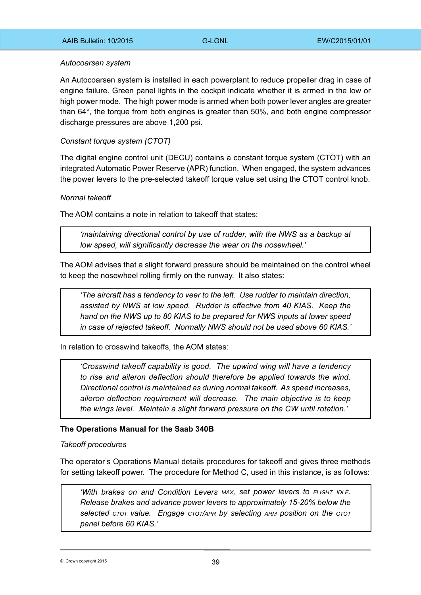#### *Autocoarsen system*

An Autocoarsen system is installed in each powerplant to reduce propeller drag in case of engine failure. Green panel lights in the cockpit indicate whether it is armed in the low or high power mode. The high power mode is armed when both power lever angles are greater than 64°, the torque from both engines is greater than 50%, and both engine compressor discharge pressures are above 1,200 psi.

### *Constant torque system (CTOT)*

The digital engine control unit (DECU) contains a constant torque system (CTOT) with an integrated Automatic Power Reserve (APR) function. When engaged, the system advances the power levers to the pre-selected takeoff torque value set using the CTOT control knob.

### *Normal takeoff*

The AOM contains a note in relation to takeoff that states:

*'maintaining directional control by use of rudder, with the NWS as a backup at low speed, will significantly decrease the wear on the nosewheel.'*

The AOM advises that a slight forward pressure should be maintained on the control wheel to keep the nosewheel rolling firmly on the runway. It also states:

*'The aircraft has a tendency to veer to the left. Use rudder to maintain direction, assisted by NWS at low speed. Rudder is effective from 40 KIAS. Keep the hand on the NWS up to 80 KIAS to be prepared for NWS inputs at lower speed in case of rejected takeoff. Normally NWS should not be used above 60 KIAS.'*

In relation to crosswind takeoffs, the AOM states:

*'Crosswind takeoff capability is good. The upwind wing will have a tendency to rise and aileron deflection should therefore be applied towards the wind. Directional control is maintained as during normal takeoff. As speed increases, aileron deflection requirement will decrease. The main objective is to keep the wings level. Maintain a slight forward pressure on the CW until rotation.'*

#### **The Operations Manual for the Saab 340B**

*Takeoff procedures*

The operator's Operations Manual details procedures for takeoff and gives three methods for setting takeoff power. The procedure for Method C, used in this instance, is as follows:

*'With brakes on and Condition Levers max, set power levers to flight idle. Release brakes and advance power levers to approximately 15-20% below the selected ctot value. Engage ctot/apr by selecting arm position on the ctot panel before 60 KIAS.'*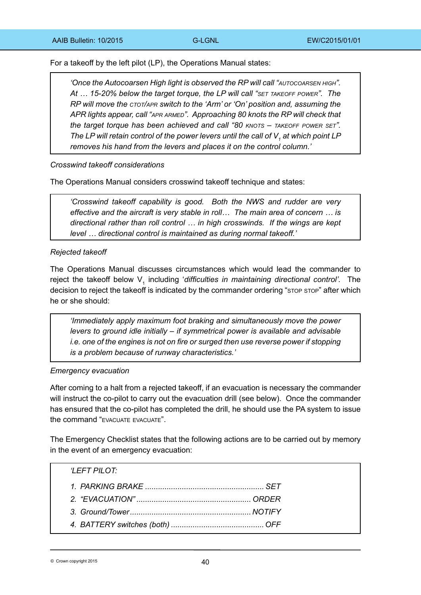For a takeoff by the left pilot (LP), the Operations Manual states:

*'Once the Autocoarsen High light is observed the RP will call "autocoarsen high". At … 15-20% below the target torque, the LP will call "set takeoff power". The RP will move the ctot/apr switch to the 'Arm' or 'On' position and, assuming the APR lights appear, call "apr armed". Approaching 80 knots the RP will check that the target torque has been achieved and call "80 knots – takeoff power set".*  The LP will retain control of the power levers until the call of  $\boldsymbol{\mathsf{V}}_i$  at which point LP *removes his hand from the levers and places it on the control column.'*

*Crosswind takeoff considerations*

The Operations Manual considers crosswind takeoff technique and states:

*'Crosswind takeoff capability is good. Both the NWS and rudder are very effective and the aircraft is very stable in roll… The main area of concern … is directional rather than roll control … in high crosswinds. If the wings are kept level … directional control is maintained as during normal takeoff.'*

# *Rejected takeoff*

The Operations Manual discusses circumstances which would lead the commander to reject the takeoff below V<sub>1</sub> including '*difficulties in maintaining directional control'*. The decision to reject the takeoff is indicated by the commander ordering "STOP STOP" after which he or she should:

*'Immediately apply maximum foot braking and simultaneously move the power levers to ground idle initially – if symmetrical power is available and advisable i.e. one of the engines is not on fire or surged then use reverse power if stopping is a problem because of runway characteristics.'*

#### *Emergency evacuation*

After coming to a halt from a rejected takeoff, if an evacuation is necessary the commander will instruct the co-pilot to carry out the evacuation drill (see below). Once the commander has ensured that the co-pilot has completed the drill, he should use the PA system to issue the command "EVACUATE EVACUATE".

The Emergency Checklist states that the following actions are to be carried out by memory in the event of an emergency evacuation:

| 'LEFT PILOT: |  |
|--------------|--|
|              |  |
|              |  |
|              |  |
|              |  |
|              |  |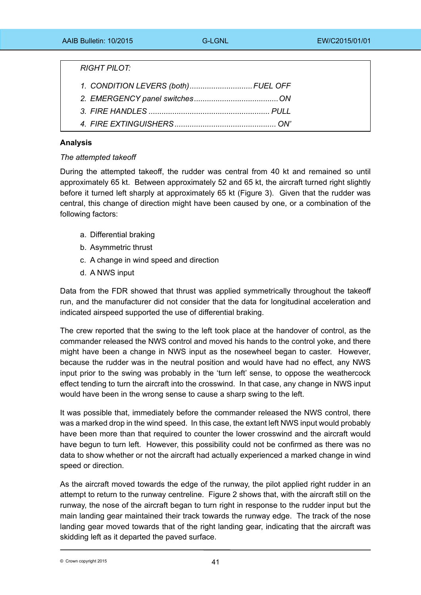*RIGHT PILOT:*

- *1. CONDITION LEVERS (both).............................FUEL OFF*
- *2. EMERGENCY panel switches.......................................ON*
- *3. FIRE HANDLES ........................................................ PULL*
- *4. FIRE EXTINGUISHERS............................................... ON'*

# **Analysis**

# *The attempted takeoff*

During the attempted takeoff, the rudder was central from 40 kt and remained so until approximately 65 kt. Between approximately 52 and 65 kt, the aircraft turned right slightly before it turned left sharply at approximately 65 kt (Figure 3). Given that the rudder was central, this change of direction might have been caused by one, or a combination of the following factors:

- a. Differential braking
- b. Asymmetric thrust
- c. A change in wind speed and direction
- d. A NWS input

Data from the FDR showed that thrust was applied symmetrically throughout the takeoff run, and the manufacturer did not consider that the data for longitudinal acceleration and indicated airspeed supported the use of differential braking.

The crew reported that the swing to the left took place at the handover of control, as the commander released the NWS control and moved his hands to the control yoke, and there might have been a change in NWS input as the nosewheel began to caster. However, because the rudder was in the neutral position and would have had no effect, any NWS input prior to the swing was probably in the 'turn left' sense, to oppose the weathercock effect tending to turn the aircraft into the crosswind. In that case, any change in NWS input would have been in the wrong sense to cause a sharp swing to the left.

It was possible that, immediately before the commander released the NWS control, there was a marked drop in the wind speed. In this case, the extant left NWS input would probably have been more than that required to counter the lower crosswind and the aircraft would have begun to turn left. However, this possibility could not be confirmed as there was no data to show whether or not the aircraft had actually experienced a marked change in wind speed or direction.

As the aircraft moved towards the edge of the runway, the pilot applied right rudder in an attempt to return to the runway centreline. Figure 2 shows that, with the aircraft still on the runway, the nose of the aircraft began to turn right in response to the rudder input but the main landing gear maintained their track towards the runway edge. The track of the nose landing gear moved towards that of the right landing gear, indicating that the aircraft was skidding left as it departed the paved surface.